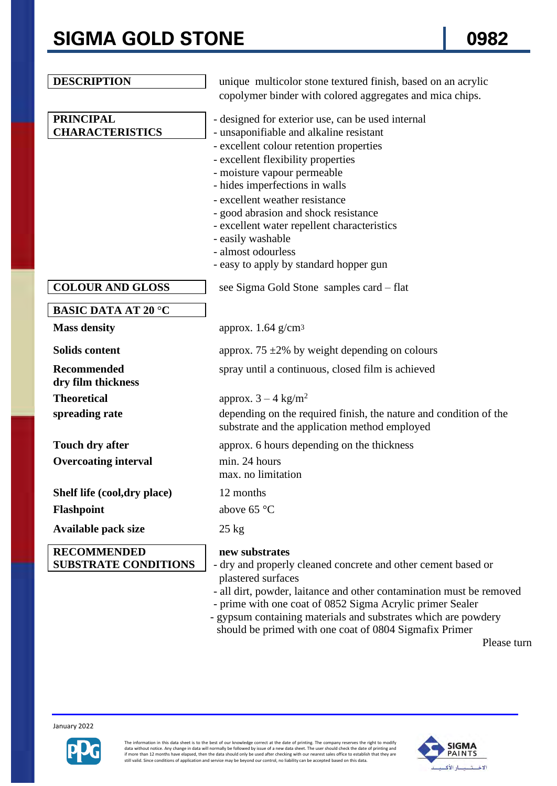## **SIGMA GOLD STONE 80982**

Please turn